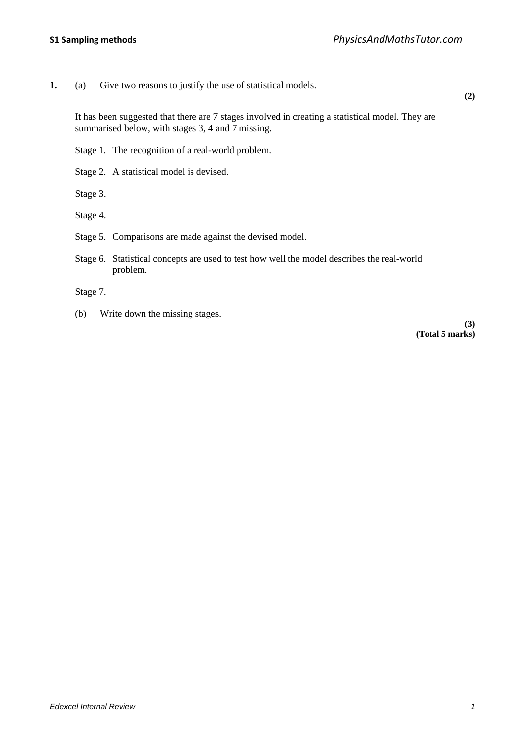**1.** (a) Give two reasons to justify the use of statistical models.

**(2)**

It has been suggested that there are 7 stages involved in creating a statistical model. They are summarised below, with stages 3, 4 and 7 missing.

Stage 1. The recognition of a real-world problem.

Stage 2. A statistical model is devised.

Stage 3.

Stage 4.

Stage 5. Comparisons are made against the devised model.

Stage 6. Statistical concepts are used to test how well the model describes the real-world problem.

Stage 7.

(b) Write down the missing stages.

**(3) (Total 5 marks)**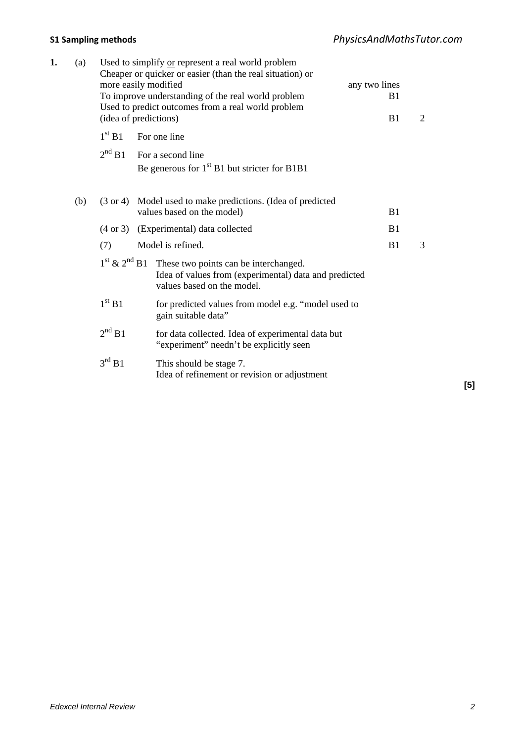| 1. | (a) | Used to simplify or represent a real world problem<br>Cheaper $or$ quicker $or$ easier (than the real situation) $or$<br>more easily modified<br>To improve understanding of the real world problem<br>Used to predict outcomes from a real world problem<br>(idea of predictions) |  |                                                                                                                              | any two lines<br>B1<br>B1 | 2 |  |
|----|-----|------------------------------------------------------------------------------------------------------------------------------------------------------------------------------------------------------------------------------------------------------------------------------------|--|------------------------------------------------------------------------------------------------------------------------------|---------------------------|---|--|
|    |     | 1 <sup>st</sup> B1                                                                                                                                                                                                                                                                 |  | For one line                                                                                                                 |                           |   |  |
|    |     | 2 <sup>nd</sup> B1                                                                                                                                                                                                                                                                 |  | For a second line<br>Be generous for $1st B1$ but stricter for B1B1                                                          |                           |   |  |
|    | (b) | Model used to make predictions. (Idea of predicted<br>$(3 \text{ or } 4)$<br>values based on the model)                                                                                                                                                                            |  |                                                                                                                              | B1                        |   |  |
|    |     | (Experimental) data collected<br>$(4 \text{ or } 3)$                                                                                                                                                                                                                               |  |                                                                                                                              | B1                        |   |  |
|    |     | Model is refined.<br>(7)                                                                                                                                                                                                                                                           |  |                                                                                                                              | B1                        | 3 |  |
|    |     | $1st$ & $2nd$ B1                                                                                                                                                                                                                                                                   |  | These two points can be interchanged.<br>Idea of values from (experimental) data and predicted<br>values based on the model. |                           |   |  |
|    |     | 1 <sup>st</sup> B1                                                                                                                                                                                                                                                                 |  | for predicted values from model e.g. "model used to<br>gain suitable data"                                                   |                           |   |  |
|    |     | 2 <sup>nd</sup> B1                                                                                                                                                                                                                                                                 |  | for data collected. Idea of experimental data but<br>"experiment" needn't be explicitly seen                                 |                           |   |  |
|    |     | $3^{\text{rd}}$ B1                                                                                                                                                                                                                                                                 |  | This should be stage 7.<br>Idea of refinement or revision or adjustment                                                      |                           |   |  |
|    |     |                                                                                                                                                                                                                                                                                    |  |                                                                                                                              |                           |   |  |